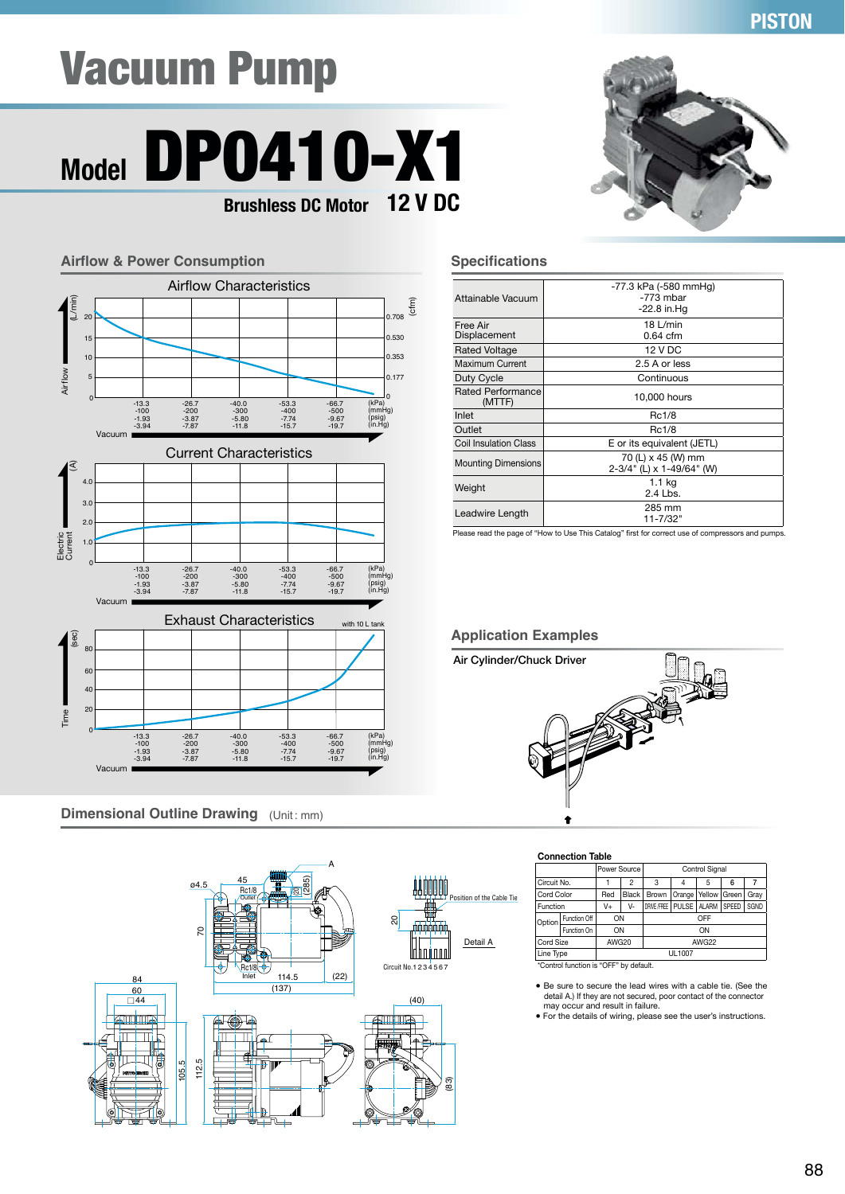## **PISTON**

# Vacuum Pump





## **Dimensional Outline Drawing** (Unit: mm)





#### **Specifications**

| Attainable Vacuum                  | -77.3 kPa (-580 mmHg)<br>$-773$ mbar |
|------------------------------------|--------------------------------------|
|                                    | $-22.8$ in.Hg                        |
| Free Air                           | 18 $L/min$                           |
| Displacement                       | $0.64$ cfm                           |
| <b>Rated Voltage</b>               | 12 V DC                              |
| Maximum Current                    | 2.5 A or less                        |
| Duty Cycle                         | Continuous                           |
| <b>Rated Performance</b><br>(MTTF) | 10,000 hours                         |
| Inlet                              | Rc1/8                                |
| Outlet                             | Rc1/8                                |
| <b>Coil Insulation Class</b>       | E or its equivalent (JETL)           |
| <b>Mounting Dimensions</b>         | 70 (L) x 45 (W) mm                   |
|                                    | 2-3/4" (L) x 1-49/64" (W)            |
| Weight                             | 1.1 kg                               |
|                                    | $2.4$ Lbs.                           |
| Leadwire Length                    | 285 mm                               |
|                                    | 11-7/32"                             |

Thease read the page of "How to Use This Catalog" first for correct use of compressors and pumps.

#### **Application Examples**



#### **Connection Table**

|             |              | Power Source                           |                | <b>Control Signal</b> |                                   |              |               |  |  |
|-------------|--------------|----------------------------------------|----------------|-----------------------|-----------------------------------|--------------|---------------|--|--|
| Circuit No. |              |                                        | $\overline{c}$ | 3                     |                                   | 5            | 6             |  |  |
| Cord Color  |              | Red                                    | <b>Black</b>   | Brown                 | Yellow<br>Gray<br>Orange<br>Green |              |               |  |  |
| Function    |              | V+                                     | V-             | DRIVE /FREE           | <b>PULSE</b>                      | <b>ALARM</b> | SPEED<br>SGND |  |  |
| Option      | Function Off | ON                                     |                | OFF                   |                                   |              |               |  |  |
|             | Function On  | ON                                     |                |                       |                                   | ON           |               |  |  |
| Cord Size   |              | AWG20                                  |                | AWG22                 |                                   |              |               |  |  |
| Line Type   |              |                                        |                | UL1007                |                                   |              |               |  |  |
|             |              | *Control function is "OFF" by default. |                |                       |                                   |              |               |  |  |

Be sure to secure the lead wires with a cable tie. (See the detail A.) If they are not secured, poor contact of the connector<br>may occur and result in failure.<br>• For the details of wiring, please see the user's instructions.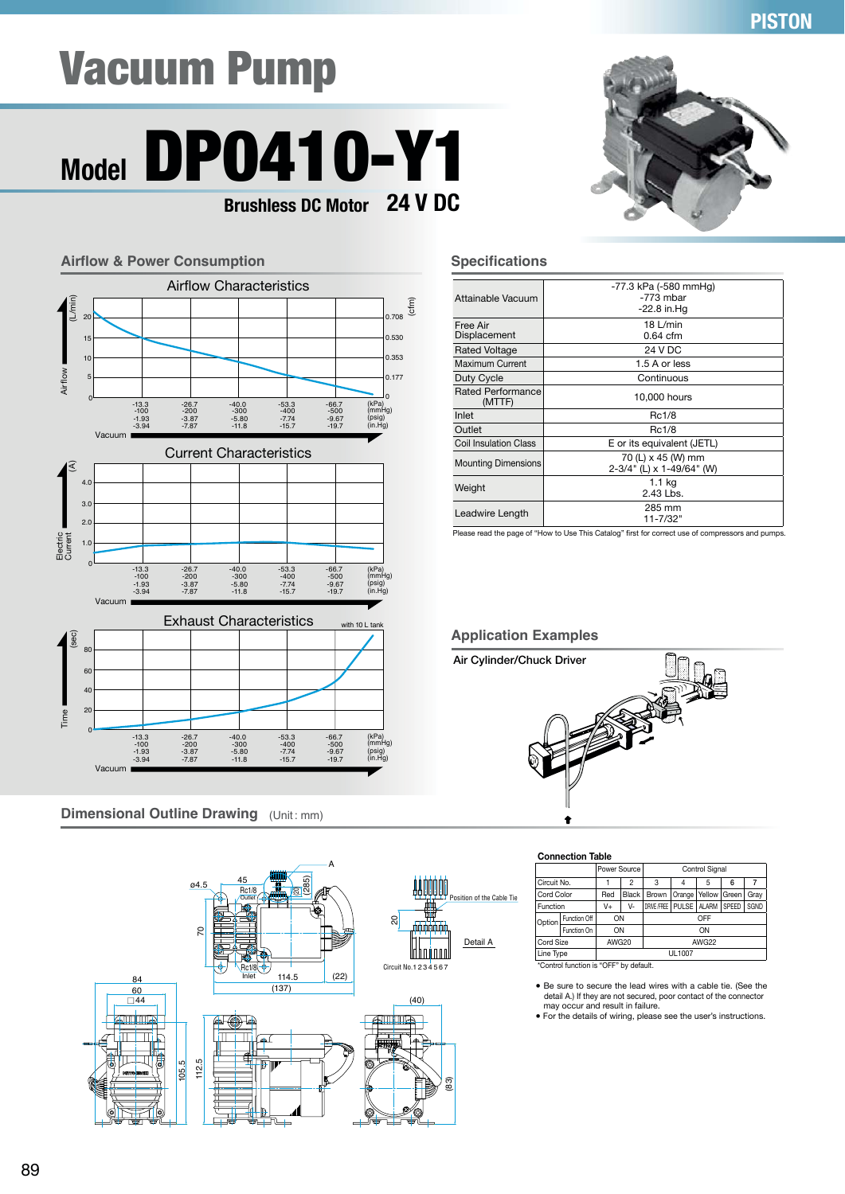## **PISTON**

# Vacuum Pump

## **Model** DP0410-Y1 **24 V DC Brushless DC Motor**



## **Dimensional Outline Drawing** (Unit: mm)





#### **Specifications**

| Attainable Vacuum            | -77.3 kPa (-580 mmHq)<br>$-773$ mbar<br>$-22.8$ in Hq |
|------------------------------|-------------------------------------------------------|
| Free Air<br>Displacement     | $18$ L/min<br>$0.64$ cfm                              |
| <b>Rated Voltage</b>         | 24 V DC                                               |
| Maximum Current              | 1.5 A or less                                         |
| Duty Cycle                   | Continuous                                            |
| Rated Performance<br>(MTTF)  | 10,000 hours                                          |
| Inlet                        | Rc1/8                                                 |
| Outlet                       | Rc1/8                                                 |
| <b>Coil Insulation Class</b> | E or its equivalent (JETL)                            |
| <b>Mounting Dimensions</b>   | 70 (L) x 45 (W) mm<br>2-3/4" (L) x 1-49/64" (W)       |
| Weight                       | 1.1 kg<br>$2.43$ Lbs.                                 |
| Leadwire Length              | 285 mm<br>$11 - 7/32"$                                |

Thease read the page of "How to Use This Catalog" first for correct use of compressors and pumps.

### **Application Examples**



#### **Connection Table**

|             |                             | Power Source                                             |        | <b>Control Signal</b>       |   |    |       |      |  |
|-------------|-----------------------------|----------------------------------------------------------|--------|-----------------------------|---|----|-------|------|--|
| Circuit No. |                             |                                                          | 2      | 3                           | 4 | 5  | 6     |      |  |
| Cord Color  |                             | Red<br>Black<br>Yellow   Green<br><b>Brown</b><br>Orange |        | Gray                        |   |    |       |      |  |
| Function    |                             | V+                                                       | V-     | DRIVE /FREE   PULSE   ALARM |   |    | SPEED | SGND |  |
| Option      | Function Off                | ON                                                       |        | OFF                         |   |    |       |      |  |
|             | Function On                 | ON                                                       |        |                             |   | ON |       |      |  |
|             | AWG20<br>Cord Size<br>AWG22 |                                                          |        |                             |   |    |       |      |  |
| Line Type   |                             |                                                          | UL1007 |                             |   |    |       |      |  |
|             |                             | *Control function is "OFF" by default.                   |        |                             |   |    |       |      |  |

Be sure to secure the lead wires with a cable tie. (See the detail A.) If they are not secured, poor contact of the connector<br>may occur and result in failure.<br>• For the details of wiring, please see the user's instructions.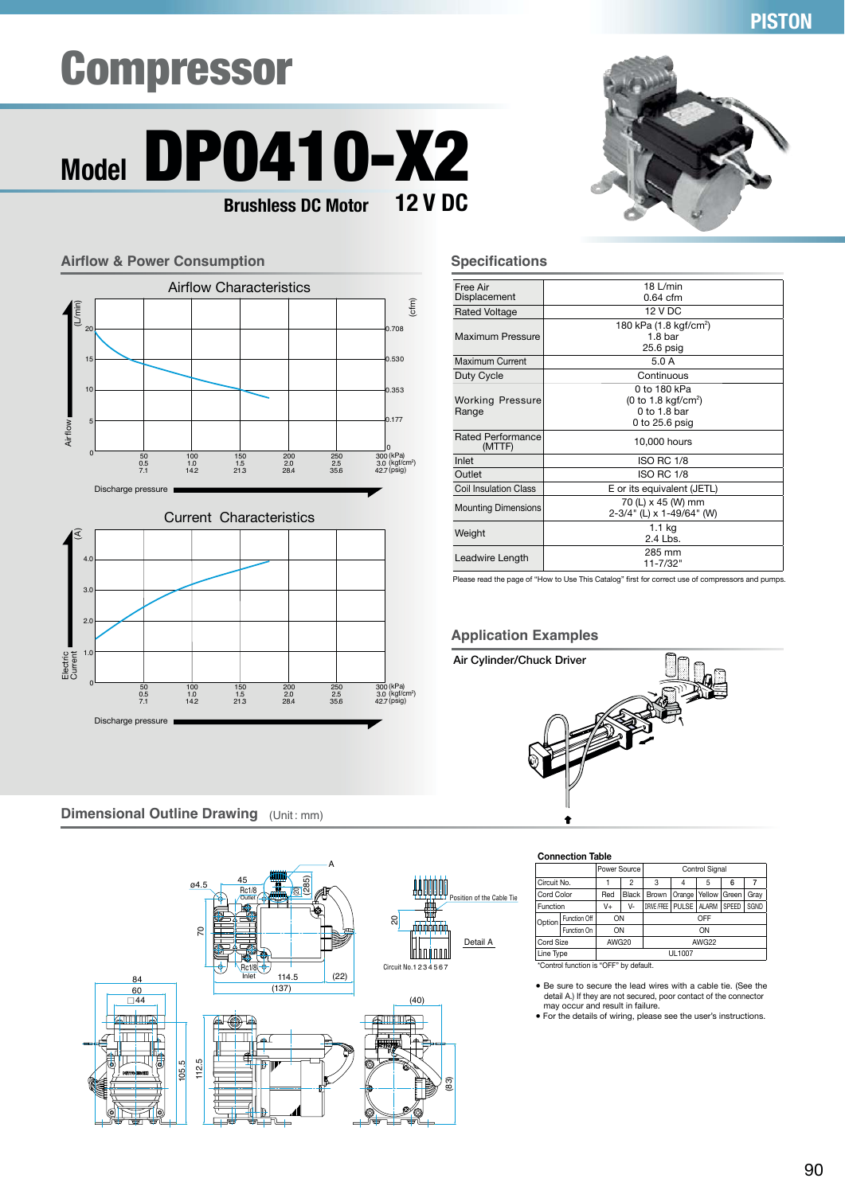## Compressor





**Dimensional Outline Drawing** (Unit: mm)



**PISTON**

#### **Specifications**

| Free Air<br>Displacement           | $18$ L/min<br>$0.64$ cfm                                                                     |
|------------------------------------|----------------------------------------------------------------------------------------------|
| <b>Rated Voltage</b>               | <b>12 V DC</b>                                                                               |
| Maximum Pressure                   | 180 kPa (1.8 kgf/cm <sup>2</sup> )<br>1.8 bar<br>$25.6$ psig                                 |
| Maximum Current                    | 5.0 A                                                                                        |
| Duty Cycle                         | Continuous                                                                                   |
| <b>Working Pressure</b><br>Range   | 0 to 180 kPa<br>$(0 \text{ to } 1.8 \text{ kgf/cm}^2)$<br>$0$ to 1.8 bar<br>0 to $25.6$ psig |
| <b>Rated Performance</b><br>(MTTF) | 10,000 hours                                                                                 |
| Inlet                              | <b>ISO RC 1/8</b>                                                                            |
| Outlet                             | <b>ISO RC 1/8</b>                                                                            |
| <b>Coil Insulation Class</b>       | E or its equivalent (JETL)                                                                   |
| <b>Mounting Dimensions</b>         | 70 (L) x 45 (W) mm<br>2-3/4" (L) x 1-49/64" (W)                                              |
| Weight                             | 1.1 kg<br>$2.4$ Lbs.                                                                         |
| Leadwire Length                    | 285 mm<br>11-7/32"                                                                           |

Please read the page of "How to Use This Catalog" first for correct use of compressors and pumps.

#### **Application Examples**





#### **Connection Table**

|             |                                    | Power Source                           |              | <b>Control Signal</b> |                                               |                |  |      |
|-------------|------------------------------------|----------------------------------------|--------------|-----------------------|-----------------------------------------------|----------------|--|------|
| Circuit No. | 3<br>$\overline{c}$<br>5<br>6<br>4 |                                        |              |                       |                                               |                |  |      |
| Cord Color  |                                    | Red                                    | <b>Black</b> | <b>Brown</b>          | Orange                                        | Yellow   Green |  | Gray |
| Function    |                                    | V+                                     | V-           | DRIVE /FREE           | <b>PULSE</b><br><b>ALARM</b><br>SPEED<br>SGND |                |  |      |
| Option      | Function Off                       | ON                                     |              | OFF                   |                                               |                |  |      |
|             | Function On                        | ON                                     |              |                       |                                               | ON             |  |      |
| Cord Size   |                                    | AWG20                                  |              | AWG22                 |                                               |                |  |      |
| Line Type   |                                    |                                        |              | UL1007                |                                               |                |  |      |
|             |                                    | *Control function is "OFF" by default. |              |                       |                                               |                |  |      |

• Be sure to secure the lead wires with a cable tie. (See the detail A.) If they are not secured, poor contact of the connector<br>may occur and result in failure.<br>• For the details of wiring, please see the user's instructions.